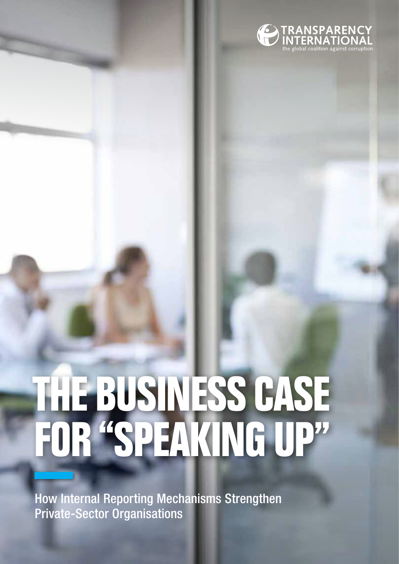

## **THE BUSINESS CASE FOR "speaking up"**

How Internal Reporting Mechanisms Strengthen Private-Sector Organisations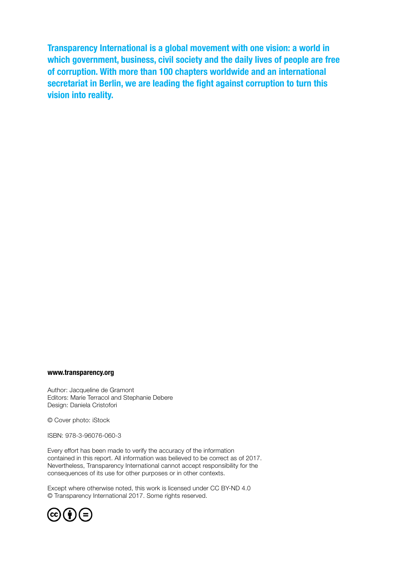Transparency International is a global movement with one vision: a world in which government, business, civil society and the daily lives of people are free of corruption. With more than 100 chapters worldwide and an international secretariat in Berlin, we are leading the fight against corruption to turn this vision into reality.

#### www.transparency.org

Author: Jacqueline de Gramont Editors: Marie Terracol and Stephanie Debere Design: Daniela Cristofori

© Cover photo: iStock

ISBN: 978-3-96076-060-3

Every effort has been made to verify the accuracy of the information contained in this report. All information was believed to be correct as of 2017. Nevertheless, Transparency International cannot accept responsibility for the consequences of its use for other purposes or in other contexts.

Except where otherwise noted, this work is licensed under CC BY-ND 4.0 © Transparency International 2017. Some rights reserved.

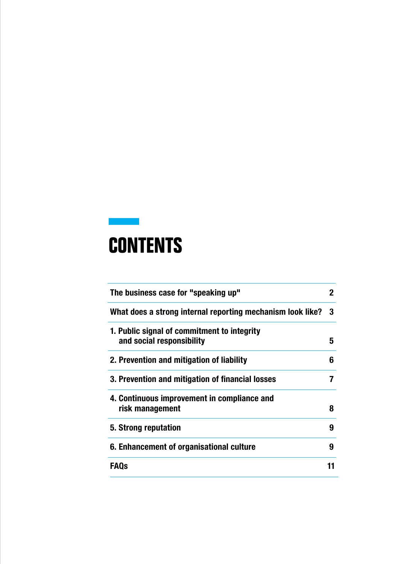## **Contents**

| The business case for "speaking up"                                      |   |
|--------------------------------------------------------------------------|---|
| What does a strong internal reporting mechanism look like?               | 3 |
| 1. Public signal of commitment to integrity<br>and social responsibility | 5 |
| 2. Prevention and mitigation of liability                                | 6 |
| 3. Prevention and mitigation of financial losses                         |   |
| 4. Continuous improvement in compliance and<br>risk management           | 8 |
| 5. Strong reputation                                                     | 9 |
| 6. Enhancement of organisational culture                                 | 9 |
| <b>FAQs</b>                                                              |   |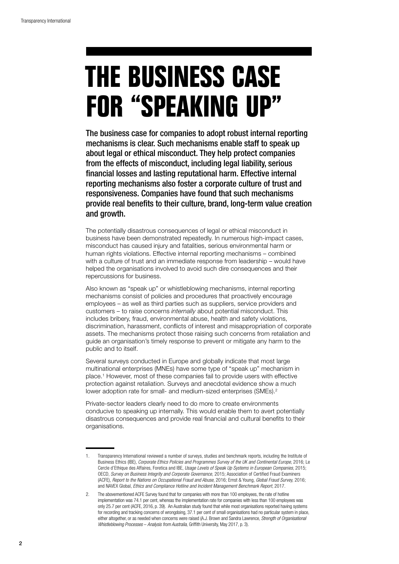# **THE BUSINESS CASE FOR "speaking up"**

The business case for companies to adopt robust internal reporting mechanisms is clear. Such mechanisms enable staff to speak up about legal or ethical misconduct. They help protect companies from the effects of misconduct, including legal liability, serious financial losses and lasting reputational harm. Effective internal reporting mechanisms also foster a corporate culture of trust and responsiveness. Companies have found that such mechanisms provide real benefits to their culture, brand, long-term value creation and growth.

The potentially disastrous consequences of legal or ethical misconduct in business have been demonstrated repeatedly. In numerous high-impact cases, misconduct has caused injury and fatalities, serious environmental harm or human rights violations. Effective internal reporting mechanisms – combined with a culture of trust and an immediate response from leadership – would have helped the organisations involved to avoid such dire consequences and their repercussions for business.

Also known as "speak up" or whistleblowing mechanisms, internal reporting mechanisms consist of policies and procedures that proactively encourage employees – as well as third parties such as suppliers, service providers and customers – to raise concerns *internally* about potential misconduct. This includes bribery, fraud, environmental abuse, health and safety violations, discrimination, harassment, conflicts of interest and misappropriation of corporate assets. The mechanisms protect those raising such concerns from retaliation and guide an organisation's timely response to prevent or mitigate any harm to the public and to itself.

Several surveys conducted in Europe and globally indicate that most large multinational enterprises (MNEs) have some type of "speak up" mechanism in place.1 However, most of these companies fail to provide users with effective protection against retaliation. Surveys and anecdotal evidence show a much lower adoption rate for small- and medium-sized enterprises (SMEs).<sup>2</sup>

Private-sector leaders clearly need to do more to create environments conducive to speaking up internally. This would enable them to avert potentially disastrous consequences and provide real financial and cultural benefits to their organisations.

<sup>1.</sup> Transparency International reviewed a number of surveys, studies and benchmark reports, including the Institute of Business Ethics (IBE), *Corporate Ethics Policies and Programmes Survey of the UK and Continental Europe*, 2016; Le Cercle d'Ethique des Affaires, Foretica and IBE, *Usage Levels of Speak Up Systems in European Companies*, 2015; OECD, *Survey on Business Integrity and Corporate Governance,* 2015; Association of Certified Fraud Examiners (ACFE), *Report to the Nations on Occupational Fraud and Abuse*, 2016; Ernst & Young, *Global Fraud Survey,* 2016; and NAVEX Global, *Ethics and Compliance Hotline and Incident Management Benchmark Report*, 2017.

The abovementioned ACFE Survey found that for companies with more than 100 employees, the rate of hotline implementation was 74.1 per cent, whereas the implementation rate for companies with less than 100 employees was only 25.7 per cent (ACFE, 2016, p. 39). An Australian study found that while most organisations reported having systems for recording and tracking concerns of wrongdoing, 37.1 per cent of small organisations had no particular system in place, either altogether, or as needed when concerns were raised (A.J. Brown and Sandra Lawrence, *Strength of Organisational Whistleblowing Processes* – *Analysis from Australia,* Griffith University, May 2017, p. 3).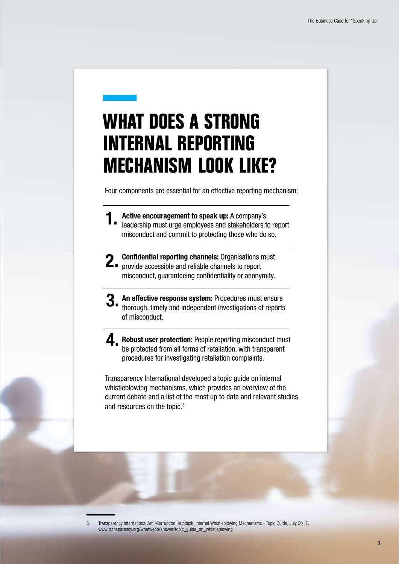## **What does a strong internal reporting mechanism look like?**

Four components are essential for an effective reporting mechanism:

- Active encouragement to speak up: A company's leadership must urge employees and stakeholders to report misconduct and commit to protecting those who do so. 1.
- Confidential reporting channels: Organisations must 2. Confidential reporting channels: Organisations r<br> **2.** provide accessible and reliable channels to report misconduct, guaranteeing confidentiality or anonymity.
- An effective response system: Procedures must ensure thorough, timely and independent investigations of reports of misconduct. 3.
- Robust user protection: People reporting misconduct must be protected from all forms of retaliation, with transparent procedures for investigating retaliation complaints. 4.

Transparency International developed a topic guide on internal whistleblowing mechanisms, which provides an overview of the current debate and a list of the most up to date and relevant studies and resources on the topic.3

3. Transparency International Anti-Corruption Helpdesk, Internal Whistleblowing Mechanisms - Topic Guide, July 2017, www.transparency.org/whatwedo/answer/topic\_guide\_on\_whistleblowing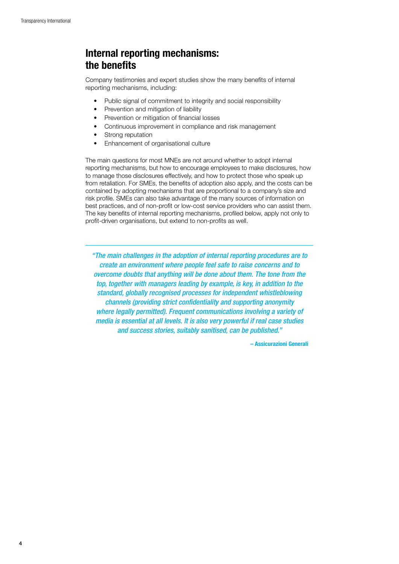#### Internal reporting mechanisms: the benefits

Company testimonies and expert studies show the many benefits of internal reporting mechanisms, including:

- Public signal of commitment to integrity and social responsibility
- Prevention and mitigation of liability
- Prevention or mitigation of financial losses
- Continuous improvement in compliance and risk management
- Strong reputation
- • Enhancement of organisational culture

The main questions for most MNEs are not around whether to adopt internal reporting mechanisms, but how to encourage employees to make disclosures, how to manage those disclosures effectively, and how to protect those who speak up from retaliation. For SMEs, the benefits of adoption also apply, and the costs can be contained by adopting mechanisms that are proportional to a company's size and risk profile. SMEs can also take advantage of the many sources of information on best practices, and of non-profit or low-cost service providers who can assist them. The key benefits of internal reporting mechanisms, profiled below, apply not only to profit-driven organisations, but extend to non-profits as well.

*"The main challenges in the adoption of internal reporting procedures are to create an environment where people feel safe to raise concerns and to overcome doubts that anything will be done about them. The tone from the top, together with managers leading by example, is key, in addition to the standard, globally recognised processes for independent whistleblowing channels (providing strict confidentiality and supporting anonymity where legally permitted). Frequent communications involving a variety of media is essential at all levels. It is also very powerful if real case studies and success stories, suitably sanitised, can be published."* 

– Assicurazioni Generali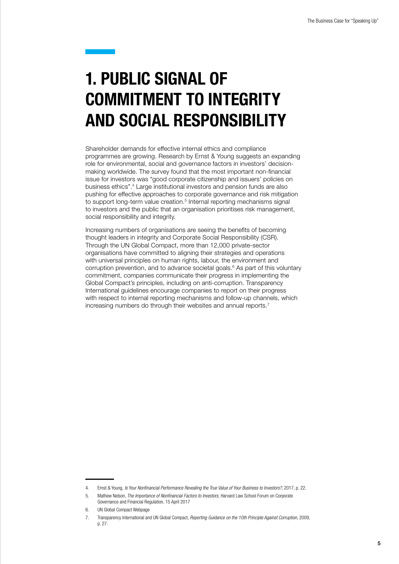#### 1. Public signal of commitment to integrity and social responsibility

Shareholder demands for effective internal ethics and compliance programmes are growing. Research by Ernst & Young suggests an expanding role for environmental, social and governance factors in investors' decisionmaking worldwide. The survey found that the most important non-financial issue for investors was "good corporate citizenship and issuers' policies on business ethics".4 Large institutional investors and pension funds are also pushing for effective approaches to corporate governance and risk mitigation to support long-term value creation.<sup>5</sup> Internal reporting mechanisms signal to investors and the public that an organisation prioritises risk management, social responsibility and integrity.

Increasing numbers of organisations are seeing the benefits of becoming thought leaders in integrity and Corporate Social Responsibility (CSR). Through the UN Global Compact, more than 12,000 private-sector organisations have committed to aligning their strategies and operations with universal principles on human rights, labour, the environment and corruption prevention, and to advance societal goals.<sup>6</sup> As part of this voluntary commitment, companies communicate their progress in implementing the Global Compact's principles, including on anti-corruption. Transparency International guidelines encourage companies to report on their progress with respect to internal reporting mechanisms and follow-up channels, which increasing numbers do through their websites and annual reports.<sup>7</sup>

<sup>4.</sup> Ernst & Young, *Is Your Nonfinancial Performance Revealing the True Value of Your Business to Investors?*, 2017, p. 22.

<sup>5.</sup> Mathew Nelson, *The Importance of Nonfinancial Factors to Investors,* Harvard Law School Forum on Corporate Governance and Financial Regulation, 15 April 2017

<sup>6.</sup> UN Global Compact Webpage

<sup>7.</sup> Transparency International and UN Global Compact, *Reporting Guidance on the 10th Principle Against Corruption,* 2009, p. 27.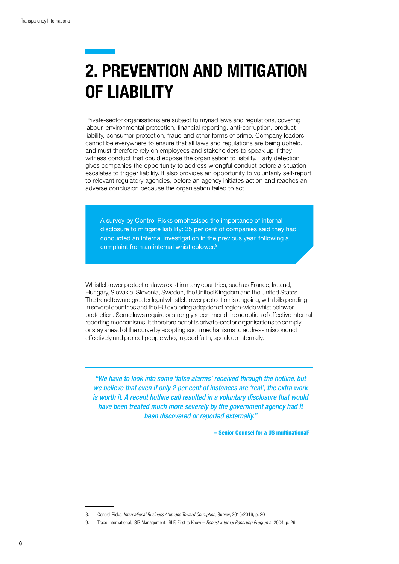## 2. Prevention and mitigation of liability

Private-sector organisations are subject to myriad laws and regulations, covering labour, environmental protection, financial reporting, anti-corruption, product liability, consumer protection, fraud and other forms of crime. Company leaders cannot be everywhere to ensure that all laws and regulations are being upheld, and must therefore rely on employees and stakeholders to speak up if they witness conduct that could expose the organisation to liability. Early detection gives companies the opportunity to address wrongful conduct before a situation escalates to trigger liability. It also provides an opportunity to voluntarily self-report to relevant regulatory agencies, before an agency initiates action and reaches an adverse conclusion because the organisation failed to act.

A survey by Control Risks emphasised the importance of internal disclosure to mitigate liability: 35 per cent of companies said they had conducted an internal investigation in the previous year, following a complaint from an internal whistleblower.8

Whistleblower protection laws exist in many countries, such as France, Ireland, Hungary, Slovakia, Slovenia, Sweden, the United Kingdom and the United States. The trend toward greater legal whistleblower protection is ongoing, with bills pending in several countries and the EU exploring adoption of region-wide whistleblower protection. Some laws require or strongly recommend the adoption of effective internal reporting mechanisms. It therefore benefits private-sector organisations to comply or stay ahead of the curve by adopting such mechanisms to address misconduct effectively and protect people who, in good faith, speak up internally.

*"We have to look into some 'false alarms' received through the hotline, but we believe that even if only 2 per cent of instances are 'real', the extra work is worth it. A recent hotline call resulted in a voluntary disclosure that would have been treated much more severely by the government agency had it been discovered or reported externally."*

– Senior Counsel for a US multinational<sup>9</sup>

<sup>8.</sup> Control Risks, *International Business Attitudes Toward Corruption,* Survey, 2015/2016, p. 20

<sup>9.</sup> Trace International, ISIS Management, IBLF, First to Know – *Robust Internal Reporting Programs,* 2004, p. 29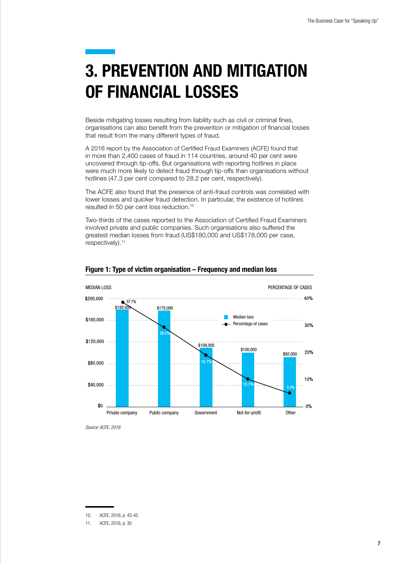## 3. Prevention AND mitigation of financial losses

Beside mitigating losses resulting from liability such as civil or criminal fines, organisations can also benefit from the prevention or mitigation of financial losses that result from the many different types of fraud.

A 2016 report by the Association of Certified Fraud Examiners (ACFE) found that in more than 2,400 cases of fraud in 114 countries, around 40 per cent were uncovered through tip-offs. But organisations with reporting hotlines in place were much more likely to detect fraud through tip-offs than organisations without hotlines (47.3 per cent compared to 28.2 per cent, respectively).

The ACFE also found that the presence of anti-fraud controls was correlated with lower losses and quicker fraud detection. In particular, the existence of hotlines resulted in 50 per cent loss reduction.10

Two-thirds of the cases reported to the Association of Certified Fraud Examiners involved private and public companies. Such organisations also suffered the greatest median losses from fraud (US\$180,000 and US\$178,000 per case, respectively).<sup>11</sup>



Figure 1: Type of victim organisation – Frequency and median loss

*Source: ACFE, 2016*

<sup>10.</sup> ACFE, 2016, p. 43-45

<sup>11.</sup> ACFE, 2016, p. 30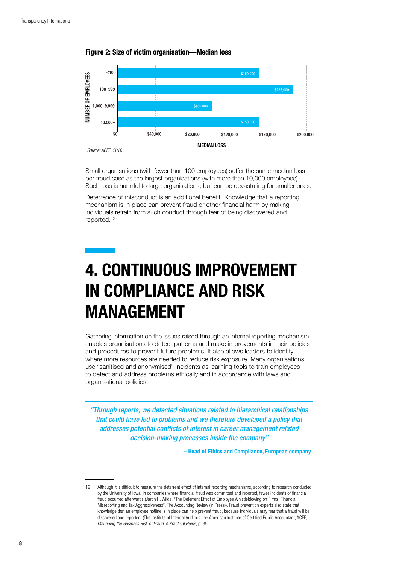

Figure 2: Size of victim organisation—Median loss

Small organisations (with fewer than 100 employees) suffer the same median loss per fraud case as the largest organisations (with more than 10,000 employees). Such loss is harmful to large organisations, but can be devastating for smaller ones.

Deterrence of misconduct is an additional benefit. Knowledge that a reporting mechanism is in place can prevent fraud or other financial harm by making individuals refrain from such conduct through fear of being discovered and reported.12

#### 4. Continuous improvement in compliance and risk management

Gathering information on the issues raised through an internal reporting mechanism enables organisations to detect patterns and make improvements in their policies and procedures to prevent future problems. It also allows leaders to identify where more resources are needed to reduce risk exposure. Many organisations use "sanitised and anonymised" incidents as learning tools to train employees to detect and address problems ethically and in accordance with laws and organisational policies.

*"Through reports, we detected situations related to hierarchical relationships that could have led to problems and we therefore developed a policy that addresses potential conflicts of interest in career management related decision-making processes inside the company"* 

– Head of Ethics and Compliance, European company

<sup>12.</sup> Although it is difficult to measure the deterrent effect of internal reporting mechanisms, according to research conducted by the University of Iowa, in companies where financial fraud was committed and reported, fewer incidents of financial fraud occurred afterwards (Jaron H. Wilde, "The Deterrent Effect of Employee Whistleblowing on Firms' Financial Misreporting and Tax Aggressiveness", The Accounting Review (in Press)). Fraud prevention experts also state that knowledge that an employee hotline is in place can help prevent fraud, because individuals may fear that a fraud will be discovered and reported. (The Institute of Internal Auditors, the American Institute of Certified Public Accountant, ACFE, *Managing the Business Risk of Fraud: A Practical Guide*, p. 35).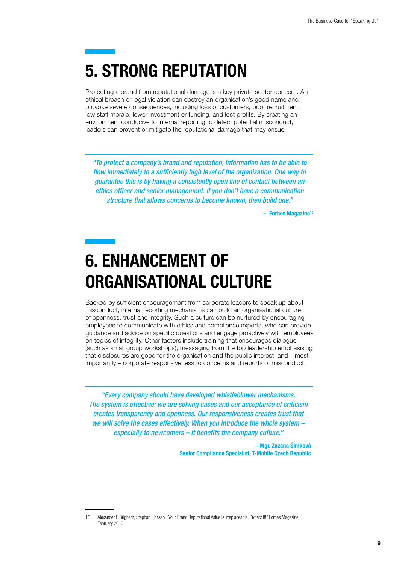## 5. Strong reputation

Protecting a brand from reputational damage is a key private-sector concern. An ethical breach or legal violation can destroy an organisation's good name and provoke severe consequences, including loss of customers, poor recruitment, low staff morale, lower investment or funding, and lost profits. By creating an environment conducive to internal reporting to detect potential misconduct, leaders can prevent or mitigate the reputational damage that may ensue.

*"To protect a company's brand and reputation, information has to be able to flow immediately to a sufficiently high level of the organization. One way to guarantee this is by having a consistently open line of contact between an ethics officer and senior management. If you don't have a communication structure that allows concerns to become known, then build one."* 

 $-$  Forbes Magazine<sup>13</sup>

#### 6. Enhancement of organisational culture

Backed by sufficient encouragement from corporate leaders to speak up about misconduct, internal reporting mechanisms can build an organisational culture of openness, trust and integrity. Such a culture can be nurtured by encouraging employees to communicate with ethics and compliance experts, who can provide guidance and advice on specific questions and engage proactively with employees on topics of integrity. Other factors include training that encourages dialogue (such as small group workshops), messaging from the top leadership emphasising that disclosures are good for the organisation and the public interest, and – most importantly – corporate responsiveness to concerns and reports of misconduct.

*"Every company should have developed whistleblower mechanisms. The system is effective: we are solving cases and our acceptance of criticism creates transparency and openness. Our responsiveness creates trust that we will solve the cases effectively. When you introduce the whole system – especially to newcomers – it benefits the company culture."* 

> – Mgr. Zuzana Šimková Senior Compliance Specialist, T-Mobile Czech Republic

<sup>13.</sup> Alexander F. Brigham, Stephan Linssen, "Your Brand Reputational Value Is Irreplaceable. Protect It!" Forbes Magazine, 1 February 2010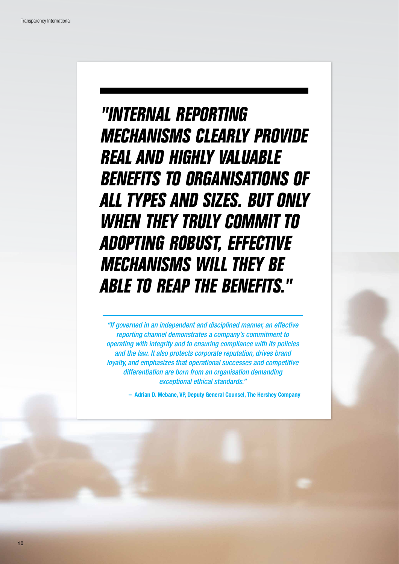## **"Internal reporting mechanisms clearly provide real and highly valuable benefits to organisations of all types and sizes. But only when they truly commit to adopting robust, effective mechanisms will they be able to reap the benefits."**

*"If governed in an independent and disciplined manner, an effective reporting channel demonstrates a company's commitment to operating with integrity and to ensuring compliance with its policies and the law. It also protects corporate reputation, drives brand loyalty, and emphasizes that operational successes and competitive differentiation are born from an organisation demanding exceptional ethical standards."* 

– Adrian D. Mebane, VP, Deputy General Counsel, The Hershey Company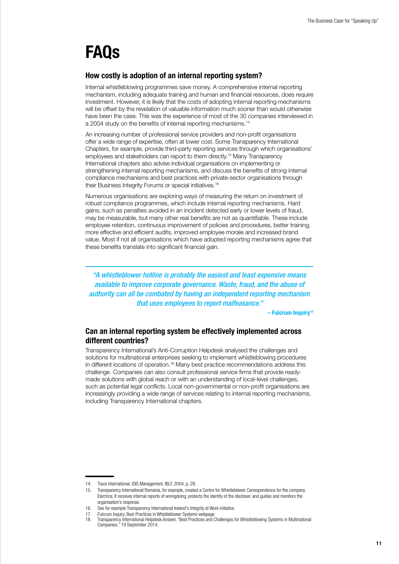#### FAQs

#### How costly is adoption of an internal reporting system?

Internal whistleblowing programmes save money. A comprehensive internal reporting mechanism, including adequate training and human and financial resources, does require investment. However, it is likely that the costs of adopting internal reporting mechanisms will be offset by the revelation of valuable information much sooner than would otherwise have been the case. This was the experience of most of the 30 companies interviewed in a 2004 study on the benefits of internal reporting mechanisms.<sup>14</sup>

An increasing number of professional service providers and non-profit organisations offer a wide range of expertise, often at lower cost. Some Transparency International Chapters, for example, provide third-party reporting services through which organisations' employees and stakeholders can report to them directly.15 Many Transparency International chapters also advise individual organisations on implementing or strengthening internal reporting mechanisms, and discuss the benefits of strong internal compliance mechanisms and best practices with private-sector organisations through their Business Integrity Forums or special initiatives.16

Numerous organisations are exploring ways of measuring the return on investment of robust compliance programmes, which include internal reporting mechanisms. Hard gains, such as penalties avoided in an incident detected early or lower levels of fraud, may be measurable, but many other real benefits are not as quantifiable. These include employee retention, continuous improvement of policies and procedures, better training, more effective and efficient audits, improved employee morale and increased brand value. Most if not all organisations which have adopted reporting mechanisms agree that these benefits translate into significant financial gain.

*"A whistleblower hotline is probably the easiest and least expensive means available to improve corporate governance. Waste, fraud, and the abuse of authority can all be combated by having an independent reporting mechanism that uses employees to report malfeasance."*

– Fulcrum Inquiry17

#### Can an internal reporting system be effectively implemented across different countries?

Transparency International's Anti-Corruption Helpdesk analysed the challenges and solutions for multinational enterprises seeking to implement whistleblowing procedures in different locations of operation.18 Many best practice recommendations address this challenge. Companies can also consult professional service firms that provide readymade solutions with global reach or with an understanding of local-level challenges, such as potential legal conflicts. Local non-governmental or non-profit organisations are increasingly providing a wide range of services relating to internal reporting mechanisms, including Transparency International chapters.

<sup>14.</sup> Trace International, ISIS Management, IBLF, 2004, p. 28.

<sup>15.</sup> Transparency International Romania, for example, created a Centre for Whistleblower Correspondence for the company Electrica. It receives internal reports of wrongdoing, protects the identity of the discloser, and guides and monitors the organisation's response.

<sup>16.</sup> See for example Transparency International Ireland's Integrity at Work initiative.

<sup>17.</sup> Fulcrum Inquiry, Best Practices in Whistleblower Systems webpage.<br>18. Transparency International Helpdesk Answer "Best Practices and 0

<sup>18.</sup> Transparency International Helpdesk Answer, "Best Practices and Challenges for Whistleblowing Systems in Multinational Companies," 19 September 2014.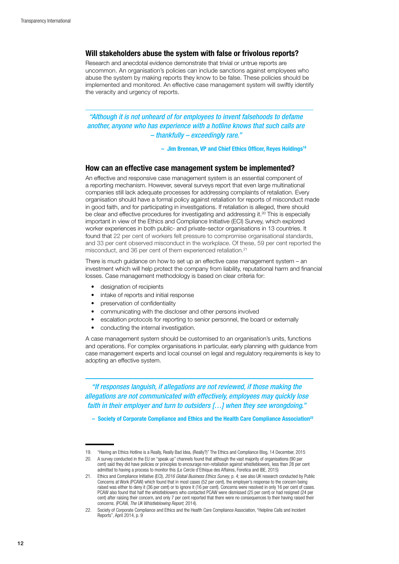#### Will stakeholders abuse the system with false or frivolous reports?

Research and anecdotal evidence demonstrate that trivial or untrue reports are uncommon. An organisation's policies can include sanctions against employees who abuse the system by making reports they know to be false. These policies should be implemented and monitored. An effective case management system will swiftly identify the veracity and urgency of reports.

*"Although it is not unheard of for employees to invent falsehoods to defame another, anyone who has experience with a hotline knows that such calls are – thankfully – exceedingly rare."* 

– Jim Brennan, VP and Chief Ethics Officer, Reyes Holdings19

#### How can an effective case management system be implemented?

An effective and responsive case management system is an essential component of a reporting mechanism. However, several surveys report that even large multinational companies still lack adequate processes for addressing complaints of retaliation. Every organisation should have a formal policy against retaliation for reports of misconduct made in good faith, and for participating in investigations. If retaliation is alleged, there should be clear and effective procedures for investigating and addressing it.20 This is especially important in view of the Ethics and Compliance Initiative (ECI) Survey, which explored worker experiences in both public- and private-sector organisations in 13 countries. It found that 22 per cent of workers felt pressure to compromise organisational standards, and 33 per cent observed misconduct in the workplace. Of these, 59 per cent reported the misconduct, and 36 per cent of them experienced retaliation.<sup>21</sup>

There is much guidance on how to set up an effective case management system – an investment which will help protect the company from liability, reputational harm and financial losses. Case management methodology is based on clear criteria for:

- • designation of recipients
- intake of reports and initial response
- preservation of confidentiality
- communicating with the discloser and other persons involved
- escalation protocols for reporting to senior personnel, the board or externally
- conducting the internal investigation.

A case management system should be customised to an organisation's units, functions and operations. For complex organisations in particular, early planning with guidance from case management experts and local counsel on legal and regulatory requirements is key to adopting an effective system.

*"If responses languish, if allegations are not reviewed, if those making the allegations are not communicated with effectively, employees may quickly lose faith in their employer and turn to outsiders […] when they see wrongdoing."* 

– Society of Corporate Compliance and Ethics and the Health Care Compliance Association22

<sup>19.</sup> "Having an Ethics Hotline is a Really, Really Bad Idea, (Really?)" The Ethics and Compliance Blog, 14 December, 2015

<sup>20.</sup> A survey conducted in the EU on "speak up" channels found that although the vast majority of organisations (90 per cent) said they did have policies or principles to encourage non-retaliation against whistleblowers, less than 28 per cent admitted to having a process to monitor this (Le Cercle d'Ethique des Affaires, Foretica and IBE, 2015)

<sup>21.</sup> Ethics and Compliance Initiative (ECI), *2016 Global Business Ethics Survey*, p. 4; see also UK research conducted by Public Concerns at Work (PCAW) which found that in most cases (52 per cent), the employer's response to the concern being raised was either to deny it (36 per cent) or to ignore it (16 per cent). Concerns were resolved in only 16 per cent of cases. PCAW also found that half the whistleblowers who contacted PCAW were dismissed (25 per cent) or had resigned (24 per cent) after raising their concern, and only 7 per cent reported that there were no consequences to their having raised their concerns. (PCAW, *The UK Whistleblowing Report,* 2014).

<sup>22.</sup> Society of Corporate Compliance and Ethics and the Health Care Compliance Association, "Helpline Calls and Incident Reports", April 2014, p. 9